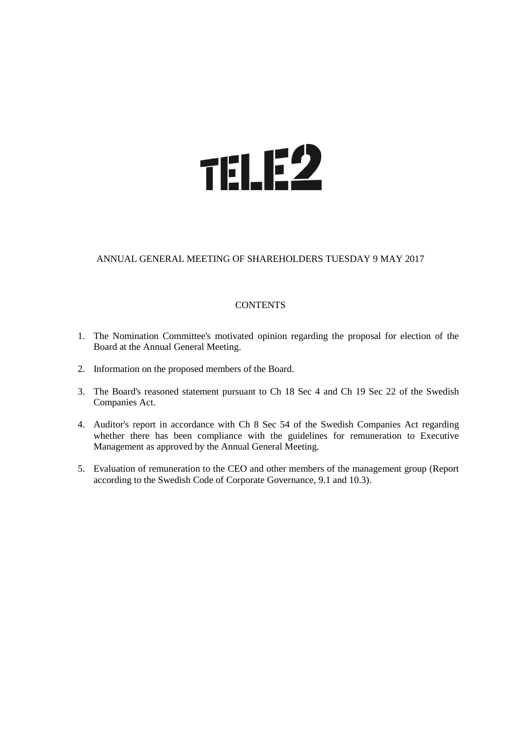# **TELE2**

# ANNUAL GENERAL MEETING OF SHAREHOLDERS TUESDAY 9 MAY 2017

#### **CONTENTS**

- 1. The Nomination Committee's motivated opinion regarding the proposal for election of the Board at the Annual General Meeting.
- 2. Information on the proposed members of the Board.
- 3. The Board's reasoned statement pursuant to Ch 18 Sec 4 and Ch 19 Sec 22 of the Swedish Companies Act.
- 4. Auditor's report in accordance with Ch 8 Sec 54 of the Swedish Companies Act regarding whether there has been compliance with the guidelines for remuneration to Executive Management as approved by the Annual General Meeting.
- 5. Evaluation of remuneration to the CEO and other members of the management group (Report according to the Swedish Code of Corporate Governance, 9.1 and 10.3).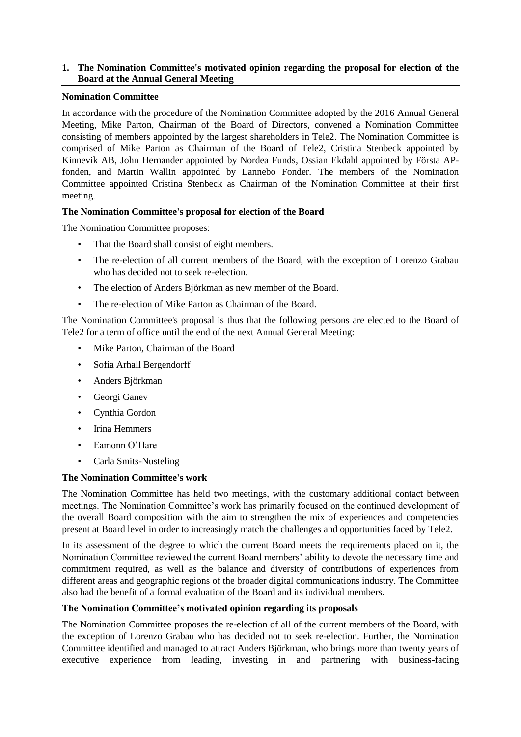#### **1. The Nomination Committee's motivated opinion regarding the proposal for election of the Board at the Annual General Meeting**

#### **Nomination Committee**

In accordance with the procedure of the Nomination Committee adopted by the 2016 Annual General Meeting, Mike Parton, Chairman of the Board of Directors, convened a Nomination Committee consisting of members appointed by the largest shareholders in Tele2. The Nomination Committee is comprised of Mike Parton as Chairman of the Board of Tele2, Cristina Stenbeck appointed by Kinnevik AB, John Hernander appointed by Nordea Funds, Ossian Ekdahl appointed by Första APfonden, and Martin Wallin appointed by Lannebo Fonder. The members of the Nomination Committee appointed Cristina Stenbeck as Chairman of the Nomination Committee at their first meeting.

# **The Nomination Committee's proposal for election of the Board**

The Nomination Committee proposes:

- That the Board shall consist of eight members.
- The re-election of all current members of the Board, with the exception of Lorenzo Grabau who has decided not to seek re-election.
- The election of Anders Björkman as new member of the Board.
- The re-election of Mike Parton as Chairman of the Board.

The Nomination Committee's proposal is thus that the following persons are elected to the Board of Tele2 for a term of office until the end of the next Annual General Meeting:

- Mike Parton, Chairman of the Board
- Sofia Arhall Bergendorff
- Anders Björkman
- Georgi Ganev
- Cynthia Gordon
- Irina Hemmers
- Eamonn O'Hare
- Carla Smits-Nusteling

#### **The Nomination Committee's work**

The Nomination Committee has held two meetings, with the customary additional contact between meetings. The Nomination Committee's work has primarily focused on the continued development of the overall Board composition with the aim to strengthen the mix of experiences and competencies present at Board level in order to increasingly match the challenges and opportunities faced by Tele2.

In its assessment of the degree to which the current Board meets the requirements placed on it, the Nomination Committee reviewed the current Board members' ability to devote the necessary time and commitment required, as well as the balance and diversity of contributions of experiences from different areas and geographic regions of the broader digital communications industry. The Committee also had the benefit of a formal evaluation of the Board and its individual members.

#### **The Nomination Committee's motivated opinion regarding its proposals**

The Nomination Committee proposes the re-election of all of the current members of the Board, with the exception of Lorenzo Grabau who has decided not to seek re-election. Further, the Nomination Committee identified and managed to attract Anders Björkman, who brings more than twenty years of executive experience from leading, investing in and partnering with business-facing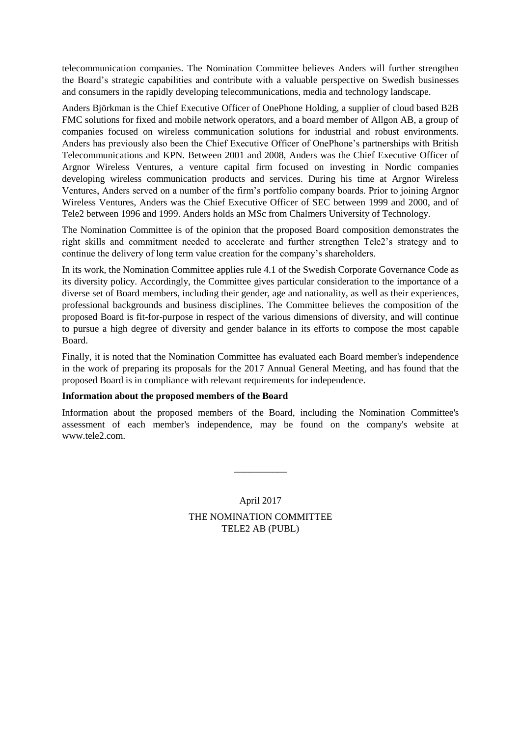telecommunication companies. The Nomination Committee believes Anders will further strengthen the Board's strategic capabilities and contribute with a valuable perspective on Swedish businesses and consumers in the rapidly developing telecommunications, media and technology landscape.

Anders Björkman is the Chief Executive Officer of OnePhone Holding, a supplier of cloud based B2B FMC solutions for fixed and mobile network operators, and a board member of Allgon AB, a group of companies focused on wireless communication solutions for industrial and robust environments. Anders has previously also been the Chief Executive Officer of OnePhone's partnerships with British Telecommunications and KPN. Between 2001 and 2008, Anders was the Chief Executive Officer of Argnor Wireless Ventures, a venture capital firm focused on investing in Nordic companies developing wireless communication products and services. During his time at Argnor Wireless Ventures, Anders served on a number of the firm's portfolio company boards. Prior to joining Argnor Wireless Ventures, Anders was the Chief Executive Officer of SEC between 1999 and 2000, and of Tele2 between 1996 and 1999. Anders holds an MSc from Chalmers University of Technology.

The Nomination Committee is of the opinion that the proposed Board composition demonstrates the right skills and commitment needed to accelerate and further strengthen Tele2's strategy and to continue the delivery of long term value creation for the company's shareholders.

In its work, the Nomination Committee applies rule 4.1 of the Swedish Corporate Governance Code as its diversity policy. Accordingly, the Committee gives particular consideration to the importance of a diverse set of Board members, including their gender, age and nationality, as well as their experiences, professional backgrounds and business disciplines. The Committee believes the composition of the proposed Board is fit-for-purpose in respect of the various dimensions of diversity, and will continue to pursue a high degree of diversity and gender balance in its efforts to compose the most capable Board.

Finally, it is noted that the Nomination Committee has evaluated each Board member's independence in the work of preparing its proposals for the 2017 Annual General Meeting, and has found that the proposed Board is in compliance with relevant requirements for independence.

#### **Information about the proposed members of the Board**

Information about the proposed members of the Board, including the Nomination Committee's assessment of each member's independence, may be found on the company's website at www.tele2.com.

> April 2017 THE NOMINATION COMMITTEE TELE2 AB (PUBL)

\_\_\_\_\_\_\_\_\_\_\_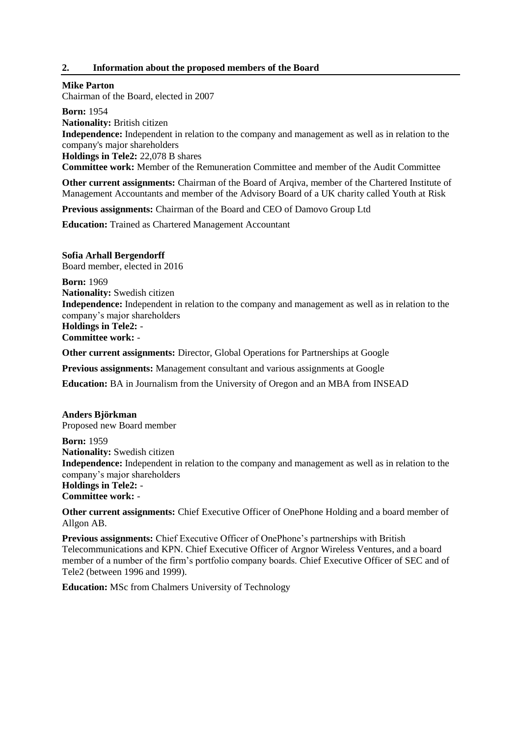#### **2. Information about the proposed members of the Board**

#### **Mike Parton**

Chairman of the Board, elected in 2007

**Born:** 1954 **Nationality:** British citizen **Independence:** Independent in relation to the company and management as well as in relation to the company's major shareholders **Holdings in Tele2:** 22,078 B shares **Committee work:** Member of the Remuneration Committee and member of the Audit Committee

**Other current assignments:** Chairman of the Board of Arqiva, member of the Chartered Institute of Management Accountants and member of the Advisory Board of a UK charity called Youth at Risk

**Previous assignments:** Chairman of the Board and CEO of Damovo Group Ltd

**Education:** Trained as Chartered Management Accountant

**Sofia Arhall Bergendorff** Board member, elected in 2016

**Born:** 1969 **Nationality:** Swedish citizen **Independence:** Independent in relation to the company and management as well as in relation to the company's major shareholders **Holdings in Tele2:** - **Committee work:** -

**Other current assignments:** Director, Global Operations for Partnerships at Google

**Previous assignments:** Management consultant and various assignments at Google

**Education:** BA in Journalism from the University of Oregon and an MBA from INSEAD

# **Anders Björkman**

Proposed new Board member

**Born:** 1959 **Nationality:** Swedish citizen **Independence:** Independent in relation to the company and management as well as in relation to the company's major shareholders **Holdings in Tele2:** - **Committee work:** -

**Other current assignments:** Chief Executive Officer of OnePhone Holding and a board member of Allgon AB.

**Previous assignments:** Chief Executive Officer of OnePhone's partnerships with British Telecommunications and KPN. Chief Executive Officer of Argnor Wireless Ventures, and a board member of a number of the firm's portfolio company boards. Chief Executive Officer of SEC and of Tele2 (between 1996 and 1999).

**Education:** MSc from Chalmers University of Technology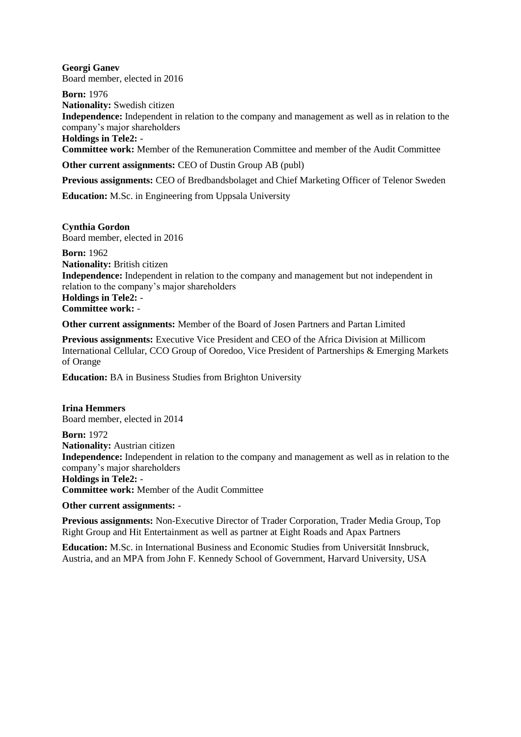**Georgi Ganev** Board member, elected in 2016

**Born:** 1976 **Nationality:** Swedish citizen **Independence:** Independent in relation to the company and management as well as in relation to the company's major shareholders **Holdings in Tele2:** -

**Committee work:** Member of the Remuneration Committee and member of the Audit Committee

**Other current assignments:** CEO of Dustin Group AB (publ)

**Previous assignments:** CEO of Bredbandsbolaget and Chief Marketing Officer of Telenor Sweden

**Education:** M.Sc. in Engineering from Uppsala University

**Cynthia Gordon** Board member, elected in 2016

**Born:** 1962 **Nationality:** British citizen **Independence:** Independent in relation to the company and management but not independent in relation to the company's major shareholders **Holdings in Tele2:** - **Committee work:** -

**Other current assignments:** Member of the Board of Josen Partners and Partan Limited

**Previous assignments:** Executive Vice President and CEO of the Africa Division at Millicom International Cellular, CCO Group of Ooredoo, Vice President of Partnerships & Emerging Markets of Orange

**Education:** BA in Business Studies from Brighton University

**Irina Hemmers** Board member, elected in 2014 **Born:** 1972 **Nationality:** Austrian citizen **Independence:** Independent in relation to the company and management as well as in relation to the company's major shareholders **Holdings in Tele2:** - **Committee work:** Member of the Audit Committee

#### **Other current assignments:** -

**Previous assignments:** Non-Executive Director of Trader Corporation, Trader Media Group, Top Right Group and Hit Entertainment as well as partner at Eight Roads and Apax Partners

**Education:** M.Sc. in International Business and Economic Studies from Universität Innsbruck, Austria, and an MPA from John F. Kennedy School of Government, Harvard University, USA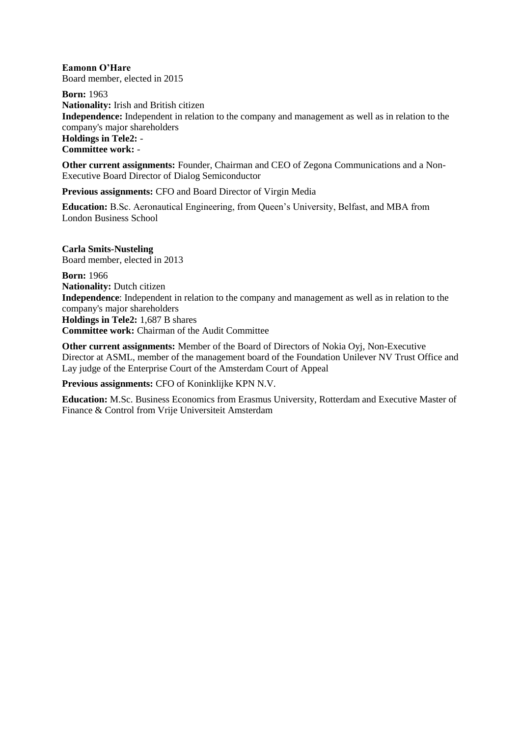**Eamonn O'Hare** Board member, elected in 2015

**Born:** 1963 **Nationality:** Irish and British citizen **Independence:** Independent in relation to the company and management as well as in relation to the company's major shareholders **Holdings in Tele2:** - **Committee work:** -

**Other current assignments:** Founder, Chairman and CEO of Zegona Communications and a Non-Executive Board Director of Dialog Semiconductor

**Previous assignments:** CFO and Board Director of Virgin Media

**Education:** B.Sc. Aeronautical Engineering, from Queen's University, Belfast, and MBA from London Business School

**Carla Smits-Nusteling** Board member, elected in 2013

**Born:** 1966 **Nationality:** Dutch citizen **Independence**: Independent in relation to the company and management as well as in relation to the company's major shareholders **Holdings in Tele2:** 1,687 B shares **Committee work:** Chairman of the Audit Committee

**Other current assignments:** Member of the Board of Directors of Nokia Oyj, Non-Executive Director at ASML, member of the management board of the Foundation Unilever NV Trust Office and Lay judge of the Enterprise Court of the Amsterdam Court of Appeal

**Previous assignments:** CFO of Koninklijke KPN N.V.

**Education:** M.Sc. Business Economics from Erasmus University, Rotterdam and Executive Master of Finance & Control from Vrije Universiteit Amsterdam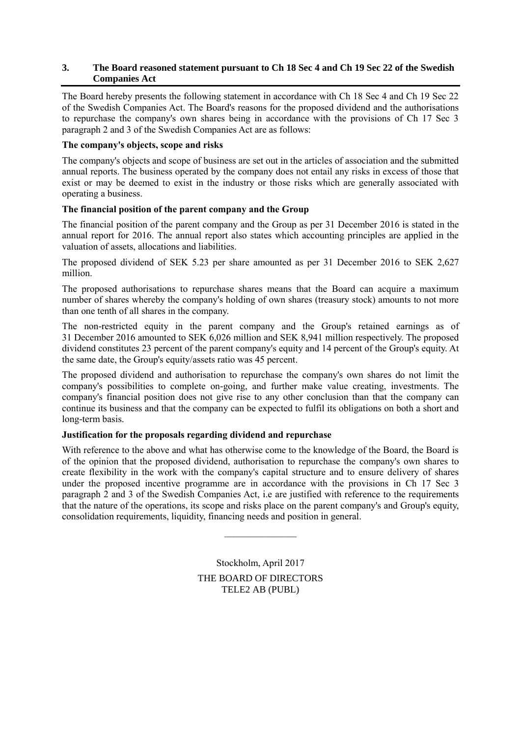#### **3. The Board reasoned statement pursuant to Ch 18 Sec 4 and Ch 19 Sec 22 of the Swedish Companies Act**

The Board hereby presents the following statement in accordance with Ch 18 Sec 4 and Ch 19 Sec 22 of the Swedish Companies Act. The Board's reasons for the proposed dividend and the authorisations to repurchase the company's own shares being in accordance with the provisions of Ch 17 Sec 3 paragraph 2 and 3 of the Swedish Companies Act are as follows:

#### **The company's objects, scope and risks**

The company's objects and scope of business are set out in the articles of association and the submitted annual reports. The business operated by the company does not entail any risks in excess of those that exist or may be deemed to exist in the industry or those risks which are generally associated with operating a business.

#### **The financial position of the parent company and the Group**

The financial position of the parent company and the Group as per 31 December 2016 is stated in the annual report for 2016. The annual report also states which accounting principles are applied in the valuation of assets, allocations and liabilities.

The proposed dividend of SEK 5.23 per share amounted as per 31 December 2016 to SEK 2,627 million.

The proposed authorisations to repurchase shares means that the Board can acquire a maximum number of shares whereby the company's holding of own shares (treasury stock) amounts to not more than one tenth of all shares in the company.

The non-restricted equity in the parent company and the Group's retained earnings as of 31 December 2016 amounted to SEK 6,026 million and SEK 8,941 million respectively. The proposed dividend constitutes 23 percent of the parent company's equity and 14 percent of the Group's equity. At the same date, the Group's equity/assets ratio was 45 percent.

The proposed dividend and authorisation to repurchase the company's own shares do not limit the company's possibilities to complete on-going, and further make value creating, investments. The company's financial position does not give rise to any other conclusion than that the company can continue its business and that the company can be expected to fulfil its obligations on both a short and long-term basis.

# **Justification for the proposals regarding dividend and repurchase**

With reference to the above and what has otherwise come to the knowledge of the Board, the Board is of the opinion that the proposed dividend, authorisation to repurchase the company's own shares to create flexibility in the work with the company's capital structure and to ensure delivery of shares under the proposed incentive programme are in accordance with the provisions in Ch 17 Sec 3 paragraph 2 and 3 of the Swedish Companies Act, i.e are justified with reference to the requirements that the nature of the operations, its scope and risks place on the parent company's and Group's equity, consolidation requirements, liquidity, financing needs and position in general.

> Stockholm, April 2017 THE BOARD OF DIRECTORS TELE2 AB (PUBL)

 $\frac{1}{2}$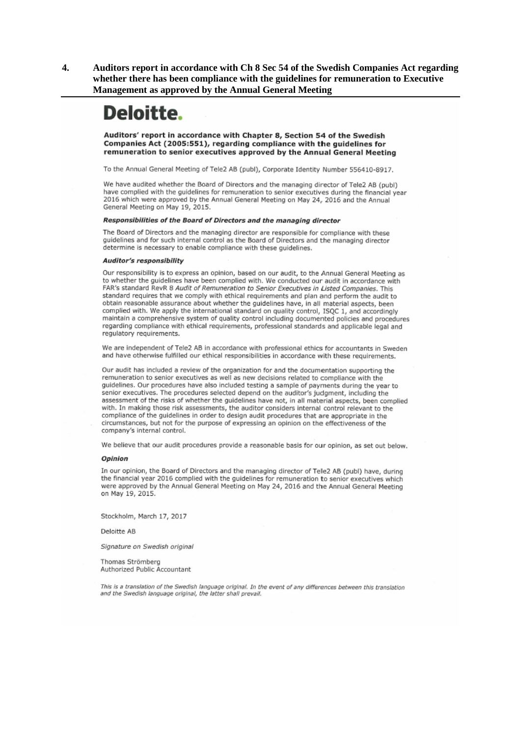**4. Auditors report in accordance with Ch 8 Sec 54 of the Swedish Companies Act regarding whether there has been compliance with the guidelines for remuneration to Executive Management as approved by the Annual General Meeting**

# Deloitte.

Auditors' report in accordance with Chapter 8, Section 54 of the Swedish Companies Act (2005:551), regarding compliance with the guidelines for remuneration to senior executives approved by the Annual General Meeting

To the Annual General Meeting of Tele2 AB (publ), Corporate Identity Number 556410-8917.

We have audited whether the Board of Directors and the managing director of Tele2 AB (publ) have complied with the guidelines for remuneration to senior executives during the financial year 2016 which were approved by the Annual General Meeting on May 24, 2016 and the Annual General Meeting on May 19, 2015.

#### Responsibilities of the Board of Directors and the managing director

The Board of Directors and the managing director are responsible for compliance with these guidelines and for such internal control as the Board of Directors and the managing director determine is necessary to enable compliance with these quidelines.

#### **Auditor's responsibility**

Our responsibility is to express an opinion, based on our audit, to the Annual General Meeting as to whether the guidelines have been complied with. We conducted our audit in accordance with FAR's standard RevR 8 Audit of Remuneration to Senior Executives in Listed Companies. This standard requires that we comply with ethical requirements and plan and perform the audit to obtain reasonable assurance about whether the guidelines have, in all material aspects, been complied with. We apply the international standard on quality control, ISQC 1, and accordingly maintain a comprehensive system of quality control including documented policies and procedures regarding compliance with ethical requirements, professional standards and applicable legal and regulatory requirements.

We are independent of Tele2 AB in accordance with professional ethics for accountants in Sweden and have otherwise fulfilled our ethical responsibilities in accordance with these requirements.

Our audit has included a review of the organization for and the documentation supporting the remuneration to senior executives as well as new decisions related to compliance with the guidelines. Our procedures have also included testing a sample of payments during the year to senior executives. The procedures selected depend on the auditor's judgment, including the assessment of the risks of whether the guidelines have not, in all material aspects, been complied with. In making those risk assessments, the auditor considers internal control relevant to the compliance of the guidelines in order to design audit procedures that are appropriate in the circumstances, but not for the purpose of expressing an opinion on the effectiveness of the company's internal control.

We believe that our audit procedures provide a reasonable basis for our opinion, as set out below.

#### Opinion

In our opinion, the Board of Directors and the managing director of Tele2 AB (publ) have, during the financial year 2016 complied with the guidelines for remuneration to senior executives which were approved by the Annual General Meeting on May 24, 2016 and the Annual General Meeting on May 19, 2015.

Stockholm, March 17, 2017

Deloitte AB

Signature on Swedish original

Thomas Strömberg Authorized Public Accountant

This is a translation of the Swedish language original. In the event of any differences between this translation and the Swedish language original, the latter shall prevail.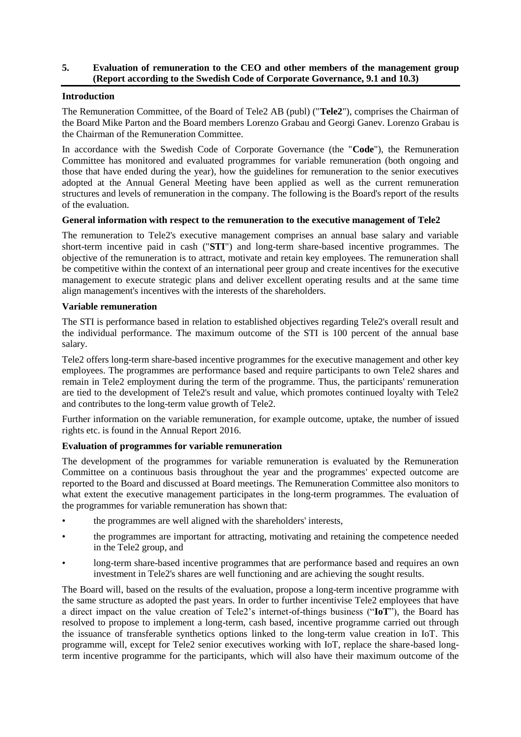#### **5. Evaluation of remuneration to the CEO and other members of the management group (Report according to the Swedish Code of Corporate Governance, 9.1 and 10.3)**

#### **Introduction**

The Remuneration Committee, of the Board of Tele2 AB (publ) ("**Tele2**"), comprises the Chairman of the Board Mike Parton and the Board members Lorenzo Grabau and Georgi Ganev. Lorenzo Grabau is the Chairman of the Remuneration Committee.

In accordance with the Swedish Code of Corporate Governance (the "**Code**"), the Remuneration Committee has monitored and evaluated programmes for variable remuneration (both ongoing and those that have ended during the year), how the guidelines for remuneration to the senior executives adopted at the Annual General Meeting have been applied as well as the current remuneration structures and levels of remuneration in the company. The following is the Board's report of the results of the evaluation.

#### **General information with respect to the remuneration to the executive management of Tele2**

The remuneration to Tele2's executive management comprises an annual base salary and variable short-term incentive paid in cash ("**STI**") and long-term share-based incentive programmes. The objective of the remuneration is to attract, motivate and retain key employees. The remuneration shall be competitive within the context of an international peer group and create incentives for the executive management to execute strategic plans and deliver excellent operating results and at the same time align management's incentives with the interests of the shareholders.

#### **Variable remuneration**

The STI is performance based in relation to established objectives regarding Tele2's overall result and the individual performance. The maximum outcome of the STI is 100 percent of the annual base salary.

Tele2 offers long-term share-based incentive programmes for the executive management and other key employees. The programmes are performance based and require participants to own Tele2 shares and remain in Tele2 employment during the term of the programme. Thus, the participants' remuneration are tied to the development of Tele2's result and value, which promotes continued loyalty with Tele2 and contributes to the long-term value growth of Tele2.

Further information on the variable remuneration, for example outcome, uptake, the number of issued rights etc. is found in the Annual Report 2016.

# **Evaluation of programmes for variable remuneration**

The development of the programmes for variable remuneration is evaluated by the Remuneration Committee on a continuous basis throughout the year and the programmes' expected outcome are reported to the Board and discussed at Board meetings. The Remuneration Committee also monitors to what extent the executive management participates in the long-term programmes. The evaluation of the programmes for variable remuneration has shown that:

- the programmes are well aligned with the shareholders' interests,
- the programmes are important for attracting, motivating and retaining the competence needed in the Tele2 group, and
- long-term share-based incentive programmes that are performance based and requires an own investment in Tele2's shares are well functioning and are achieving the sought results.

The Board will, based on the results of the evaluation, propose a long-term incentive programme with the same structure as adopted the past years. In order to further incentivise Tele2 employees that have a direct impact on the value creation of Tele2's internet-of-things business ("**IoT**"), the Board has resolved to propose to implement a long-term, cash based, incentive programme carried out through the issuance of transferable synthetics options linked to the long-term value creation in IoT. This programme will, except for Tele2 senior executives working with IoT, replace the share-based longterm incentive programme for the participants, which will also have their maximum outcome of the